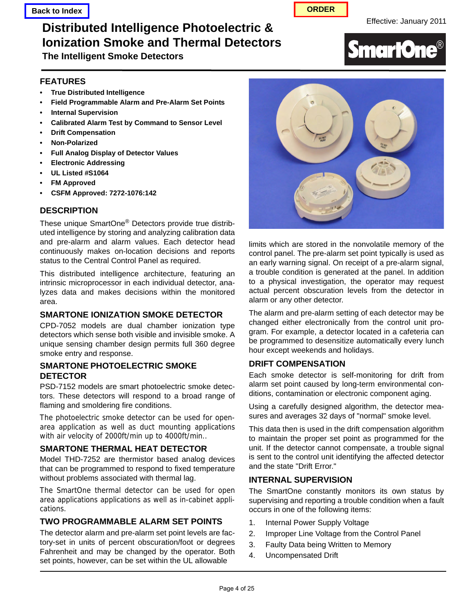# **Distributed Intelligence Photoelectric & The Effective: January 2011 Ionization Smoke and Thermal Detectors**

**The Intelligent Smoke Detectors**

# **FEATURES**

- **True Distributed Intelligence**
- **Field Programmable Alarm and Pre-Alarm Set Points**
- **Internal Supervision**
- **Calibrated Alarm Test by Command to Sensor Level**
- **Drift Compensation**
- **Non-Polarized**
- **Full Analog Display of Detector Values**
- **Electronic Addressing**
- **UL Listed #S1064**
- **FM Approved**
- **CSFM Approved: 7272-1076:142**

#### **DESCRIPTION**

These unique SmartOne® Detectors provide true distributed intelligence by storing and analyzing calibration data and pre-alarm and alarm values. Each detector head continuously makes on-location decisions and reports status to the Central Control Panel as required.

This distributed intelligence architecture, featuring an intrinsic microprocessor in each individual detector, analyzes data and makes decisions within the monitored area.

# **SMARTONE IONIZATION SMOKE DETECTOR**

CPD-7052 models are dual chamber ionization type detectors which sense both visible and invisible smoke. A unique sensing chamber design permits full 360 degree smoke entry and response.

#### **SMARTONE PHOTOELECTRIC SMOKE DETECTOR**

PSD-7152 models are smart photoelectric smoke detectors. These detectors will respond to a broad range of flaming and smoldering fire conditions.

The photoelectric smoke detector can be used for openarea application as well as duct mounting applications with air velocity of 2000ft/min up to 4000ft/min..

# **SMARTONE THERMAL HEAT DETECTOR**

Model THD-7252 are thermistor based analog devices that can be programmed to respond to fixed temperature without problems associated with thermal lag.

The SmartOne thermal detector can be used for open area applications applications as well as in-cabinet applications.

# **TWO PROGRAMMABLE ALARM SET POINTS**

The detector alarm and pre-alarm set point levels are factory-set in units of percent obscuration/foot or degrees Fahrenheit and may be changed by the operator. Both set points, however, can be set within the UL allowable



limits which are stored in the nonvolatile memory of the control panel. The pre-alarm set point typically is used as an early warning signal. On receipt of a pre-alarm signal, a trouble condition is generated at the panel. In addition to a physical investigation, the operator may request actual percent obscuration levels from the detector in alarm or any other detector.

The alarm and pre-alarm setting of each detector may be changed either electronically from the control unit program. For example, a detector located in a cafeteria can be programmed to desensitize automatically every lunch hour except weekends and holidays.

#### **DRIFT COMPENSATION**

Each smoke detector is self-monitoring for drift from alarm set point caused by long-term environmental conditions, contamination or electronic component aging.

Using a carefully designed algorithm, the detector measures and averages 32 days of "normal" smoke level.

This data then is used in the drift compensation algorithm to maintain the proper set point as programmed for the unit. If the detector cannot compensate, a trouble signal is sent to the control unit identifying the affected detector and the state "Drift Error."

#### **INTERNAL SUPERVISION**

The SmartOne constantly monitors its own status by supervising and reporting a trouble condition when a fault occurs in one of the following items:

- 1. Internal Power Supply Voltage
- 2. Improper Line Voltage from the Control Panel
- 3. Faulty Data being Written to Memory
- 4. Uncompensated Drift

# **SmartOne®**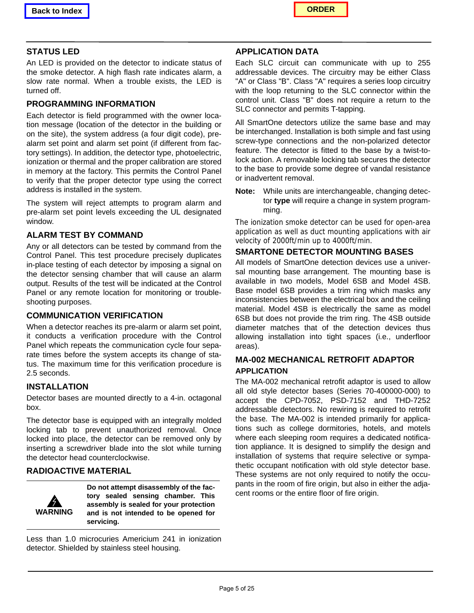

# **STATUS LED**

An LED is provided on the detector to indicate status of the smoke detector. A high flash rate indicates alarm, a slow rate normal. When a trouble exists, the LED is turned off.

#### **PROGRAMMING INFORMATION**

Each detector is field programmed with the owner location message (location of the detector in the building or on the site), the system address (a four digit code), prealarm set point and alarm set point (if different from factory settings). In addition, the detector type, photoelectric, ionization or thermal and the proper calibration are stored in memory at the factory. This permits the Control Panel to verify that the proper detector type using the correct address is installed in the system.

The system will reject attempts to program alarm and pre-alarm set point levels exceeding the UL designated window.

#### **ALARM TEST BY COMMAND**

Any or all detectors can be tested by command from the Control Panel. This test procedure precisely duplicates in-place testing of each detector by imposing a signal on the detector sensing chamber that will cause an alarm output. Results of the test will be indicated at the Control Panel or any remote location for monitoring or troubleshooting purposes.

# **COMMUNICATION VERIFICATION**

When a detector reaches its pre-alarm or alarm set point, it conducts a verification procedure with the Control Panel which repeats the communication cycle four separate times before the system accepts its change of status. The maximum time for this verification procedure is 2.5 seconds.

#### **INSTALLATION**

Detector bases are mounted directly to a 4-in. octagonal box.

The detector base is equipped with an integrally molded locking tab to prevent unauthorized removal. Once locked into place, the detector can be removed only by inserting a screwdriver blade into the slot while turning the detector head counterclockwise.

# **RADIOACTIVE MATERIAL**



**Do not attempt disassembly of the factory sealed sensing chamber. This assembly is sealed for your protection and is not intended to be opened for servicing.**

Less than 1.0 microcuries Americium 241 in ionization detector. Shielded by stainless steel housing.

#### **APPLICATION DATA**

Each SLC circuit can communicate with up to 255 addressable devices. The circuitry may be either Class "A" or Class "B". Class "A" requires a series loop circuitry with the loop returning to the SLC connector within the control unit. Class "B" does not require a return to the SLC connector and permits T-tapping.

All SmartOne detectors utilize the same base and may be interchanged. Installation is both simple and fast using screw-type connections and the non-polarized detector feature. The detector is fitted to the base by a twist-tolock action. A removable locking tab secures the detector to the base to provide some degree of vandal resistance or inadvertent removal.

**Note:** While units are interchangeable, changing detector **type** will require a change in system programming.

The ionization smoke detector can be used for open-area application as well as duct mounting applications with air velocity of 2000ft/min up to 4000ft/min.

#### **SMARTONE DETECTOR MOUNTING BASES**

All models of SmartOne detection devices use a universal mounting base arrangement. The mounting base is available in two models, Model 6SB and Model 4SB. Base model 6SB provides a trim ring which masks any inconsistencies between the electrical box and the ceiling material. Model 4SB is electrically the same as model 6SB but does not provide the trim ring. The 4SB outside diameter matches that of the detection devices thus allowing installation into tight spaces (i.e., underfloor areas).

# **MA-002 MECHANICAL RETROFIT ADAPTOR APPLICATION**

The MA-002 mechanical retrofit adaptor is used to allow all old style detector bases (Series 70-400000-000) to accept the CPD-7052, PSD-7152 and THD-7252 addressable detectors. No rewiring is required to retrofit the base. The MA-002 is intended primarily for applications such as college dormitories, hotels, and motels where each sleeping room requires a dedicated notification appliance. It is designed to simplify the design and installation of systems that require selective or sympathetic occupant notification with old style detector base. These systems are not only required to notify the occupants in the room of fire origin, but also in either the adjacent rooms or the entire floor of fire origin.